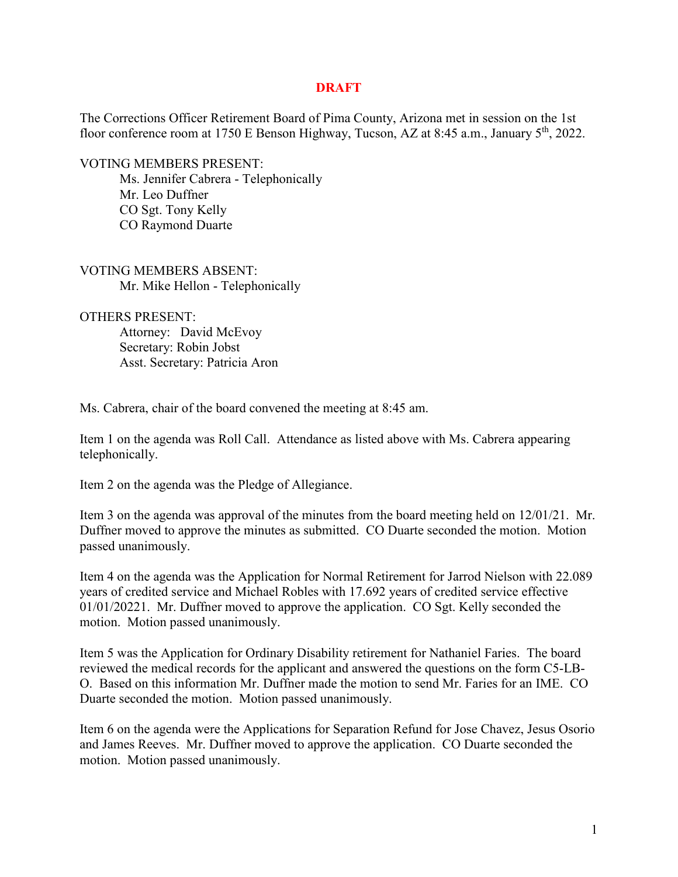## **DRAFT**

The Corrections Officer Retirement Board of Pima County, Arizona met in session on the 1st floor conference room at 1750 E Benson Highway, Tucson, AZ at 8:45 a.m., January 5<sup>th</sup>, 2022.

VOTING MEMBERS PRESENT:

Ms. Jennifer Cabrera - Telephonically Mr. Leo Duffner CO Sgt. Tony Kelly CO Raymond Duarte

VOTING MEMBERS ABSENT: Mr. Mike Hellon - Telephonically

OTHERS PRESENT:

Attorney: David McEvoy Secretary: Robin Jobst Asst. Secretary: Patricia Aron

Ms. Cabrera, chair of the board convened the meeting at 8:45 am.

Item 1 on the agenda was Roll Call. Attendance as listed above with Ms. Cabrera appearing telephonically.

Item 2 on the agenda was the Pledge of Allegiance.

Item 3 on the agenda was approval of the minutes from the board meeting held on 12/01/21. Mr. Duffner moved to approve the minutes as submitted. CO Duarte seconded the motion. Motion passed unanimously.

Item 4 on the agenda was the Application for Normal Retirement for Jarrod Nielson with 22.089 years of credited service and Michael Robles with 17.692 years of credited service effective 01/01/20221. Mr. Duffner moved to approve the application. CO Sgt. Kelly seconded the motion. Motion passed unanimously.

Item 5 was the Application for Ordinary Disability retirement for Nathaniel Faries. The board reviewed the medical records for the applicant and answered the questions on the form C5-LB-O. Based on this information Mr. Duffner made the motion to send Mr. Faries for an IME. CO Duarte seconded the motion. Motion passed unanimously.

Item 6 on the agenda were the Applications for Separation Refund for Jose Chavez, Jesus Osorio and James Reeves. Mr. Duffner moved to approve the application. CO Duarte seconded the motion. Motion passed unanimously.